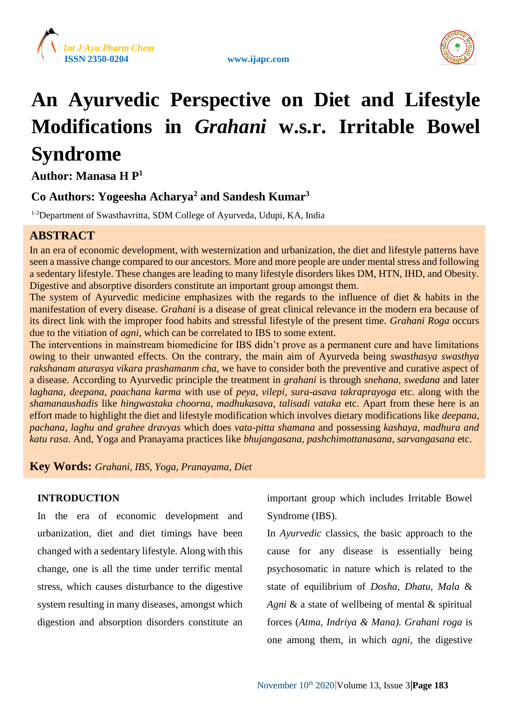





# **An Ayurvedic Perspective on Diet and Lifestyle Modifications in** *Grahani* **w.s.r. Irritable Bowel Syndrome**

**Author: Manasa H P<sup>1</sup>**

# **Co Authors: Yogeesha Acharya<sup>2</sup> and Sandesh Kumar<sup>3</sup>**

1-3Department of Swasthavritta, SDM College of Ayurveda, Udupi, KA, India

# **ABSTRACT**

In an era of economic development, with westernization and urbanization, the diet and lifestyle patterns have seen a massive change compared to our ancestors. More and more people are under mental stress and following a sedentary lifestyle. These changes are leading to many lifestyle disorders likes DM, HTN, IHD, and Obesity. Digestive and absorptive disorders constitute an important group amongst them.

The system of Ayurvedic medicine emphasizes with the regards to the influence of diet & habits in the manifestation of every disease. *Grahani* is a disease of great clinical relevance in the modern era because of its direct link with the improper food habits and stressful lifestyle of the present time. *Grahani Roga* occurs due to the vitiation of *agni,* which can be correlated to IBS to some extent.

The interventions in mainstream biomedicine for IBS didn't prove as a permanent cure and have limitations owing to their unwanted effects. On the contrary, the main aim of Ayurveda being *swasthasya swasthya rakshanam aturasya vikara prashamanm cha,* we have to consider both the preventive and curative aspect of a disease. According to Ayurvedic principle the treatment in *grahani* is through *snehana, swedana* and later *laghana, deepana, paachana karma* with use of *peya, vilepi, sura-asava takraprayoga* etc. along with the *shamanaushadis* like *hingwastaka choorna, madhukasava, talisadi vataka* etc. Apart from these here is an effort made to highlight the diet and lifestyle modification which involves dietary modifications like *deepana, pachana, laghu and grahee dravyas* which does *vata-pitta shamana* and possessing *kashaya, madhura and katu rasa*. And, Yoga and Pranayama practices like *bhujangasana, pashchimottanasana, sarvangasana* etc.

**Key Words:** *Grahani, IBS, Yoga, Pranayama, Diet*

### **INTRODUCTION**

In the era of economic development and urbanization, diet and diet timings have been changed with a sedentary lifestyle. Along with this change, one is all the time under terrific mental stress, which causes disturbance to the digestive system resulting in many diseases, amongst which digestion and absorption disorders constitute an

important group which includes Irritable Bowel Syndrome (IBS).

In *Ayurvedic* classics, the basic approach to the cause for any disease is essentially being psychosomatic in nature which is related to the state of equilibrium of *Dosha, Dhatu*, *Mala* & *Agni* & a state of wellbeing of mental & spiritual forces (*Atma, Indriya & Mana). Grahani roga* is one among them, in which *agni,* the digestive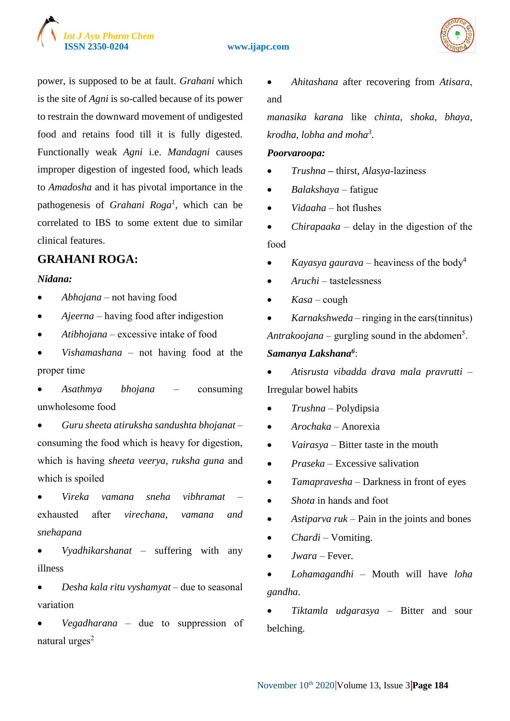



power, is supposed to be at fault. *Grahani* which is the site of *Agni* is so-called because of its power to restrain the downward movement of undigested food and retains food till it is fully digested. Functionally weak *Agni* i.e. *Mandagni* causes improper digestion of ingested food, which leads to *Amadosha* and it has pivotal importance in the pathogenesis of *Grahani Roga<sup>1</sup> ,* which can be correlated to IBS to some extent due to similar clinical features.

# **GRAHANI ROGA:**

#### *Nidana:*

- *Abhojana*  not having food
- *Ajeerna*  having food after indigestion
- *Atibhojana*  excessive intake of food
- *Vishamashana*  not having food at the proper time
- *Asathmya bhojana*  consuming unwholesome food
- *Guru sheeta atiruksha sandushta bhojanat*  consuming the food which is heavy for digestion, which is having *sheeta veerya, ruksha guna* and which is spoiled
- *Vireka vamana sneha vibhramat*  exhausted after *virechana, vamana and snehapana*
- *Vyadhikarshanat* suffering with any illness
- *Desha kala ritu vyshamyat*  due to seasonal variation
- *Vegadharana*  due to suppression of natural urges $2$

 *Ahitashana* after recovering from *Atisara*, and

*manasika karana* like *chinta, shoka, bhaya, krodha, lobha and moha<sup>3</sup> .*

#### *Poorvaroopa:*

- *Trushna* **–** thirst, *Alasya*-laziness
- *Balakshaya* fatigue
- *Vidaaha*  hot flushes
- *Chirapaaka* delay in the digestion of the food
- *Kayasya gaurava* heaviness of the body<sup>4</sup>
- *Aruchi*  tastelessness
- *Kasa*  cough

 *Karnakshweda* – ringing in the ears(tinnitus)  $Antrakoojana$  – gurgling sound in the abdomen<sup>5</sup>.

#### *Samanya Lakshana<sup>6</sup>* :

- *Atisrusta vibadda drava mala pravrutti*  Irregular bowel habits
- *Trushna –* Polydipsia
- *Arochaka* Anorexia
- *Vairasya* Bitter taste in the mouth
- *Praseka* Excessive salivation
- *Tamapravesha* Darkness in front of eyes
- *Shota* in hands and foot
- *Astiparva ruk* Pain in the joints and bones
- *Chardi* Vomiting.
- *Jwara* Fever.
- *Lohamagandhi* Mouth will have *loha gandha*.

 *Tiktamla udgarasya* – Bitter and sour belching.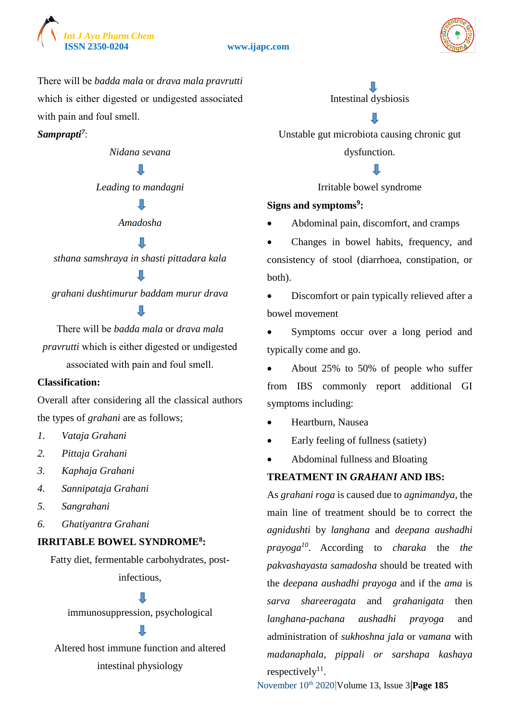



There will be *badda mala* or *drava mala pravrutti* which is either digested or undigested associated with pain and foul smell.

*Samprapti<sup>7</sup>* :

*Nidana sevana*

*Leading to mandagni*

#### П

*Amadosha*

#### П

*sthana samshraya in shasti pittadara kala*

*grahani dushtimurur baddam murur drava* П

There will be *badda mala* or *drava mala pravrutti* which is either digested or undigested associated with pain and foul smell.

#### **Classification:**

Overall after considering all the classical authors the types of *grahani* are as follows;

- *1. Vataja Grahani*
- *2. Pittaja Grahani*
- *3. Kaphaja Grahani*
- *4. Sannipataja Grahani*
- *5. Sangrahani*
- *6. Ghatiyantra Grahani*

#### **IRRITABLE BOWEL SYNDROME<sup>8</sup> :**

Fatty diet, fermentable carbohydrates, postinfectious,

П

immunosuppression, psychological

Altered host immune function and altered intestinal physiology

Л

Intestinal dysbiosis

Л

Unstable gut microbiota causing chronic gut

dysfunction.

Irritable bowel syndrome

#### **Signs and symptoms<sup>9</sup> :**

Abdominal pain, discomfort, and cramps

 Changes in bowel habits, frequency, and consistency of stool (diarrhoea, constipation, or both).

 Discomfort or pain typically relieved after a bowel movement

 Symptoms occur over a long period and typically come and go.

 About 25% to 50% of people who suffer from IBS commonly report additional GI symptoms including:

- Heartburn, Nausea
- Early feeling of fullness (satiety)
- Abdominal fullness and Bloating

### **TREATMENT IN** *GRAHANI* **AND IBS:**

As *grahani roga* is caused due to *agnimandya*, the main line of treatment should be to correct the *agnidushti* by *langhana* and *deepana aushadhi prayoga<sup>10</sup>* . According to *charaka* the *the pakvashayasta samadosha* should be treated with the *deepana aushadhi prayoga* and if the *ama* is *sarva shareeragata* and *grahanigata* then *langhana-pachana aushadhi prayoga* and administration of *sukhoshna jala* or *vamana* with *madanaphala, pippali or sarshapa kashaya* respectively<sup>11</sup>.

November 10<sup>th</sup> 2020 Volume 13, Issue 3 **Page 185**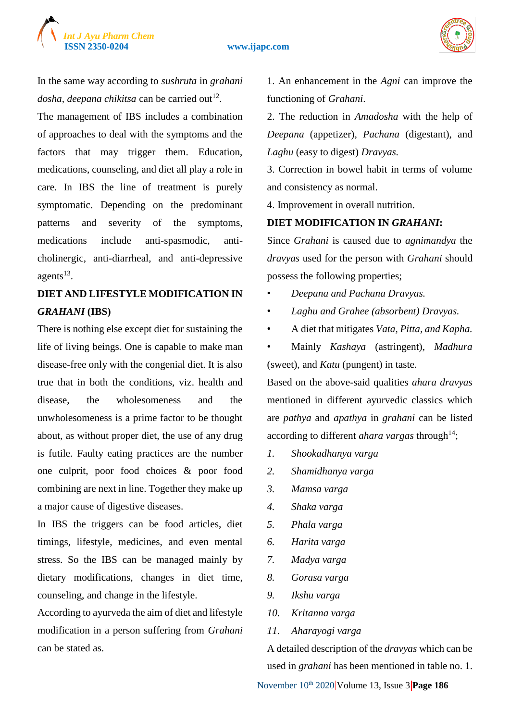



In the same way according to *sushruta* in *grahani*  dosha, deepana chikitsa can be carried out<sup>12</sup>.

The management of IBS includes a combination of approaches to deal with the symptoms and the factors that may trigger them. Education, medications, counseling, and diet all play a role in care. In IBS the line of treatment is purely symptomatic. Depending on the predominant patterns and severity of the symptoms, medications include anti-spasmodic, anticholinergic, anti-diarrheal, and anti-depressive agents $^{13}$ .

# **DIET AND LIFESTYLE MODIFICATION IN**  *GRAHANI* **(IBS)**

There is nothing else except diet for sustaining the life of living beings. One is capable to make man disease-free only with the congenial diet. It is also true that in both the conditions, viz. health and disease, the wholesomeness and the unwholesomeness is a prime factor to be thought about, as without proper diet, the use of any drug is futile. Faulty eating practices are the number one culprit, poor food choices & poor food combining are next in line. Together they make up a major cause of digestive diseases.

In IBS the triggers can be food articles, diet timings, lifestyle, medicines, and even mental stress. So the IBS can be managed mainly by dietary modifications, changes in diet time, counseling, and change in the lifestyle.

According to ayurveda the aim of diet and lifestyle modification in a person suffering from *Grahani*  can be stated as.

1. An enhancement in the *Agni* can improve the functioning of *Grahani*.

2. The reduction in *Amadosha* with the help of *Deepana* (appetizer)*, Pachana* (digestant), and *Laghu* (easy to digest) *Dravyas.* 

3. Correction in bowel habit in terms of volume and consistency as normal.

4. Improvement in overall nutrition.

#### **DIET MODIFICATION IN** *GRAHANI***:**

Since *Grahani* is caused due to *agnimandya* the *dravyas* used for the person with *Grahani* should possess the following properties;

- *Deepana and Pachana Dravyas.*
- *Laghu and Grahee (absorbent) Dravyas.*
- A diet that mitigates *Vata, Pitta, and Kapha.*
- Mainly *Kashaya* (astringent), *Madhura* (sweet), and *Katu* (pungent) in taste.

Based on the above-said qualities *ahara dravyas* mentioned in different ayurvedic classics which are *pathya* and *apathya* in *grahani* can be listed according to different *ahara vargas* through<sup>14</sup>;

- *1. Shookadhanya varga*
- *2. Shamidhanya varga*
- *3. Mamsa varga*
- *4. Shaka varga*
- *5. Phala varga*
- *6. Harita varga*
- *7. Madya varga*
- *8. Gorasa varga*
- *9. Ikshu varga*
- *10. Kritanna varga*
- *11. Aharayogi varga*

A detailed description of the *dravyas* which can be used in *grahani* has been mentioned in table no. 1.

November 10th 2020 Volume 13, Issue 3 **Page 186**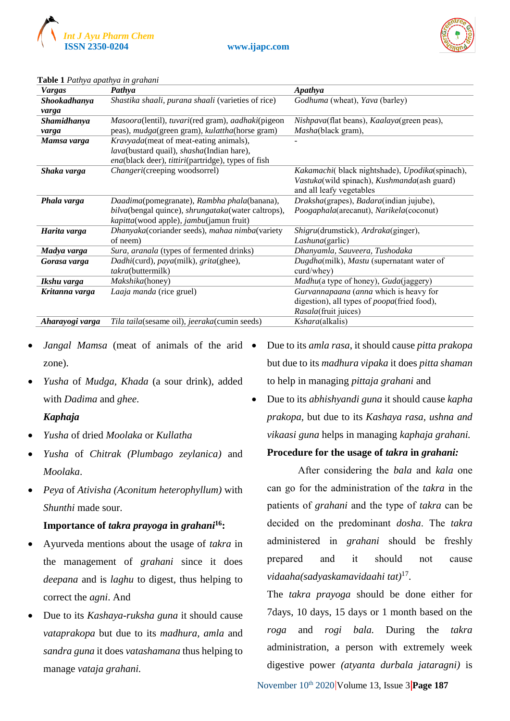



| <b>Vargas</b>   | Pathya                                             | <b>Apathya</b>                                        |
|-----------------|----------------------------------------------------|-------------------------------------------------------|
| Shookadhanya    | Shastika shaali, purana shaali (varieties of rice) | Godhuma (wheat), Yava (barley)                        |
| varga           |                                                    |                                                       |
| Shamidhanya     | Masoora(lentil), tuvari(red gram), aadhaki(pigeon  | Nishpava(flat beans), Kaalaya(green peas),            |
| varga           | peas), mudga(green gram), kulattha(horse gram)     | Masha(black gram),                                    |
| Mamsa varga     | Kravyada(meat of meat-eating animals),             |                                                       |
|                 | lava(bustard quail), shasha(Indian hare),          |                                                       |
|                 | ena(black deer), tittiri(partridge), types of fish |                                                       |
| Shaka varga     | Changeri(creeping woodsorrel)                      | Kakamachi(black nightshade), Upodika(spinach),        |
|                 |                                                    | Vastuka(wild spinach), Kushmanda(ash guard)           |
|                 |                                                    | and all leafy vegetables                              |
| Phala varga     | Daadima(pomegranate), Rambha phala(banana),        | Draksha(grapes), Badara(indian jujube),               |
|                 | bilva(bengal quince), shrungataka(water caltrops), | Poogaphala(arecanut), Narikela(coconut)               |
|                 | kapitta(wood apple), jambu(jamun fruit)            |                                                       |
| Harita varga    | Dhanyaka(coriander seeds), mahaa nimba(variety     | Shigru(drumstick), Ardraka(ginger),                   |
|                 | of neem)                                           | <i>Lashuna</i> (garlic)                               |
| Madya varga     | Sura, aranala (types of fermented drinks)          | Dhanyamla, Sauveera, Tushodaka                        |
| Gorasa varga    | Dadhi(curd), paya(milk), grita(ghee),              | Dugdha(milk), Mastu (supernatant water of             |
|                 | takra(buttermilk)                                  | $curd/$ whey $)$                                      |
| Ikshu varga     | Makshika(honey)                                    | <i>Madhu</i> (a type of honey), <i>Guda</i> (jaggery) |
| Kritanna varga  | Laaja manda (rice gruel)                           | Gurvannapaana (anna which is heavy for                |
|                 |                                                    | digestion), all types of <i>poopa</i> (fried food),   |
|                 |                                                    | Rasala(fruit juices)                                  |
| Aharayogi varga | Tila taila(sesame oil), jeeraka(cumin seeds)       | Kshara(alkalis)                                       |

#### **Table 1** *Pathya apathya in grahani*

- *Jangal Mamsa* (meat of animals of the arid  $\bullet$ zone).
- *Yusha* of *Mudga, Khada* (a sour drink), added with *Dadima* and *ghee*.

#### *Kaphaja*

- *Yusha* of dried *Moolaka* or *Kullatha*
- *Yusha* of *Chitrak (Plumbago zeylanica)* and *Moolaka*.
- *Peya* of *Ativisha (Aconitum heterophyllum)* with *Shunthi* made sour.

#### **Importance of** *takra prayoga* **in** *grahani***<sup>16</sup>:**

- Ayurveda mentions about the usage of *takra* in the management of *grahani* since it does *deepana* and is *laghu* to digest, thus helping to correct the *agni*. And
- Due to its *Kashaya-ruksha guna* it should cause *vataprakopa* but due to its *madhura, amla* and *sandra guna* it does *vatashamana* thus helping to manage *vataja grahani.*

 Due to its *amla rasa*, it should cause *pitta prakopa*  but due to its *madhura vipaka* it does *pitta shaman*  to help in managing *pittaja grahani* and

 Due to its *abhishyandi guna* it should cause *kapha prakopa,* but due to its *Kashaya rasa, ushna and vikaasi guna* helps in managing *kaphaja grahani.*

#### **Procedure for the usage of** *takra* **in** *grahani:*

After considering the *bala* and *kala* one can go for the administration of the *takra* in the patients of *grahani* and the type of *takra* can be decided on the predominant *dosha*. The *takra* administered in *grahani* should be freshly prepared and it should not cause *vidaaha(sadyaskamavidaahi tat)*<sup>17</sup> .

The *takra prayoga* should be done either for 7days, 10 days, 15 days or 1 month based on the *roga* and *rogi bala.* During the *takra* administration, a person with extremely week digestive power *(atyanta durbala jataragni)* is

November 10<sup>th</sup> 2020 Volume 13, Issue 3 **Page 187**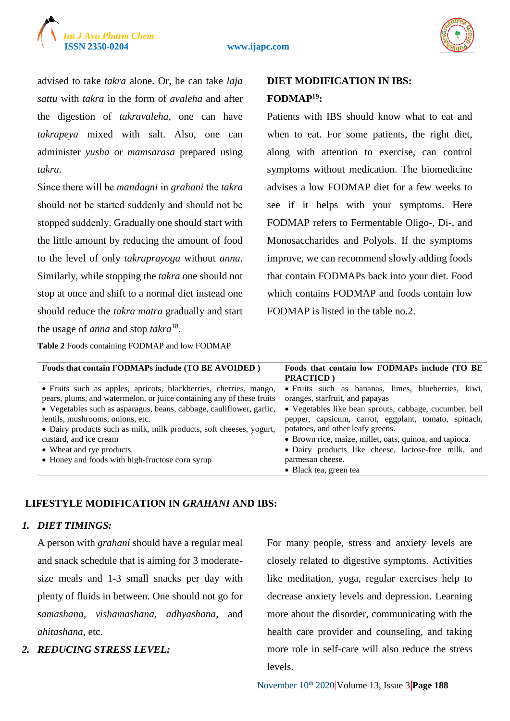



advised to take *takra* alone. Or, he can take *laja sattu* with *takra* in the form of *avaleha* and after the digestion of *takravaleha*, one can have *takrapeya* mixed with salt. Also, one can administer *yusha* or *mamsarasa* prepared using *takra*.

Since there will be *mandagni* in *grahani* the *takra* should not be started suddenly and should not be stopped suddenly. Gradually one should start with the little amount by reducing the amount of food to the level of only *takraprayoga* without *anna*. Similarly, while stopping the *takra* one should not stop at once and shift to a normal diet instead one should reduce the *takra matra* gradually and start the usage of *anna* and stop *takra*<sup>18</sup> .

**Table 2** Foods containing FODMAP and low FODMAP

# **DIET MODIFICATION IN IBS: FODMAP<sup>19</sup>:**

Patients with IBS should know what to eat and when to eat. For some patients, the right diet, along with attention to exercise, can control symptoms without medication. The biomedicine advises a low FODMAP diet for a few weeks to see if it helps with your symptoms. Here FODMAP refers to Fermentable Oligo-, Di-, and Monosaccharides and Polyols. If the symptoms improve, we can recommend slowly adding foods that contain FODMAPs back into your diet. Food which contains FODMAP and foods contain low FODMAP is listed in the table no.2.

| Foods that contain FODMAPs include (TO BE AVOIDED)                                                                                                                              | Foods that contain low FODMAPs include (TO BE)<br><b>PRACTICD</b>                                                                                    |
|---------------------------------------------------------------------------------------------------------------------------------------------------------------------------------|------------------------------------------------------------------------------------------------------------------------------------------------------|
| • Fruits such as apples, apricots, blackberries, cherries, mango,<br>pears, plums, and watermelon, or juice containing any of these fruits                                      | • Fruits such as bananas, limes, blueberries, kiwi,<br>oranges, starfruit, and papayas                                                               |
| • Vegetables such as asparagus, beans, cabbage, cauliflower, garlic,<br>lentils, mushrooms, onions, etc.<br>• Dairy products such as milk, milk products, soft cheeses, yogurt, | • Vegetables like bean sprouts, cabbage, cucumber, bell<br>pepper, capsicum, carrot, eggplant, tomato, spinach,<br>potatoes, and other leafy greens. |
| custard, and ice cream                                                                                                                                                          | • Brown rice, maize, millet, oats, quinoa, and tapioca.                                                                                              |
| • Wheat and rye products                                                                                                                                                        | · Dairy products like cheese, lactose-free milk, and                                                                                                 |
| • Honey and foods with high-fructose corn syrup                                                                                                                                 | parmesan cheese.<br>• Black tea, green tea                                                                                                           |

#### **LIFESTYLE MODIFICATION IN** *GRAHANI* **AND IBS:**

#### *1. DIET TIMINGS:*

A person with *grahani* should have a regular meal and snack schedule that is aiming for 3 moderatesize meals and 1-3 small snacks per day with plenty of fluids in between. One should not go for *samashana, vishamashana, adhyashana*, and *ahitashana,* etc.

#### *2. REDUCING STRESS LEVEL:*

For many people, stress and anxiety levels are closely related to digestive symptoms. Activities like meditation, yoga, regular exercises help to decrease anxiety levels and depression. Learning more about the disorder, communicating with the health care provider and counseling, and taking more role in self-care will also reduce the stress levels.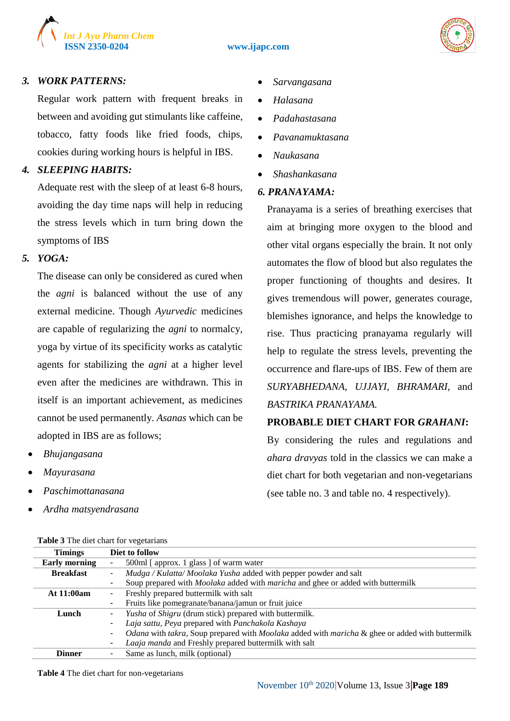



#### *3. WORK PATTERNS:*

Regular work pattern with frequent breaks in between and avoiding gut stimulants like caffeine, tobacco, fatty foods like fried foods, chips, cookies during working hours is helpful in IBS.

### *4. SLEEPING HABITS:*

Adequate rest with the sleep of at least 6-8 hours, avoiding the day time naps will help in reducing the stress levels which in turn bring down the symptoms of IBS

#### *5. YOGA:*

The disease can only be considered as cured when the *agni* is balanced without the use of any external medicine. Though *Ayurvedic* medicines are capable of regularizing the *agni* to normalcy, yoga by virtue of its specificity works as catalytic agents for stabilizing the *agni* at a higher level even after the medicines are withdrawn. This in itself is an important achievement, as medicines cannot be used permanently. *Asanas* which can be adopted in IBS are as follows;

- *Bhujangasana*
- *Mayurasana*
- *Paschimottanasana*
- *Ardha matsyendrasana*

**Table 3** The diet chart for vegetarians

- *Sarvangasana*
- *Halasana*
- *Padahastasana*
- *Pavanamuktasana*
- *Naukasana*
- *Shashankasana*

#### *6. PRANAYAMA:*

Pranayama is a series of breathing exercises that aim at bringing more oxygen to the blood and other vital organs especially the brain. It not only automates the flow of blood but also regulates the proper functioning of thoughts and desires. It gives tremendous will power, generates courage, blemishes ignorance, and helps the knowledge to rise. Thus practicing pranayama regularly will help to regulate the stress levels, preventing the occurrence and flare-ups of IBS. Few of them are *SURYABHEDANA, UJJAYI, BHRAMARI,* and *BASTRIKA PRANAYAMA.*

#### **PROBABLE DIET CHART FOR** *GRAHANI***:**

By considering the rules and regulations and *ahara dravyas* told in the classics we can make a diet chart for both vegetarian and non-vegetarians (see table no. 3 and table no. 4 respectively).

| <b>THOIC</b> of the check chart for vegetarians |                                                                                                 |  |
|-------------------------------------------------|-------------------------------------------------------------------------------------------------|--|
| <b>Timings</b>                                  | Diet to follow                                                                                  |  |
| <b>Early morning</b>                            | 500ml [ approx. 1 glass ] of warm water                                                         |  |
| <b>Breakfast</b>                                | Mudga / Kulatta/ Moolaka Yusha added with pepper powder and salt                                |  |
|                                                 | Soup prepared with <i>Moolaka</i> added with <i>maricha</i> and ghee or added with buttermilk   |  |
| <b>At 11:00am</b>                               | Freshly prepared buttermilk with salt<br>٠                                                      |  |
|                                                 | Fruits like pomegranate/banana/jamun or fruit juice<br>٠                                        |  |
| Lunch                                           | <i>Yusha</i> of <i>Shigru</i> (drum stick) prepared with buttermilk.<br>۰                       |  |
|                                                 | Laja sattu, Peya prepared with Panchakola Kashaya<br>۰                                          |  |
|                                                 | Odana with takra, Soup prepared with Moolaka added with maricha & ghee or added with buttermilk |  |
|                                                 | Laaja manda and Freshly prepared buttermilk with salt                                           |  |
| <b>Dinner</b>                                   | Same as lunch, milk (optional)                                                                  |  |

**Table 4** The diet chart for non-vegetarians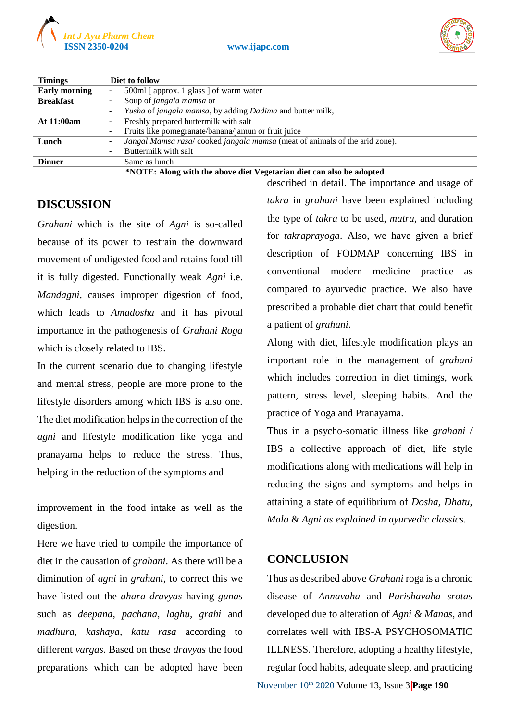



| <b>Timings</b>       | Diet to follow                                                             |  |
|----------------------|----------------------------------------------------------------------------|--|
| <b>Early morning</b> | 500ml [ approx. 1 glass ] of warm water<br>۰.                              |  |
| <b>Breakfast</b>     | Soup of jangala mamsa or                                                   |  |
|                      | Yusha of jangala mamsa, by adding Dadima and butter milk,                  |  |
| At 11:00am           | Freshly prepared buttermilk with salt<br>۰.                                |  |
|                      | Fruits like pomegranate/banana/jamun or fruit juice                        |  |
| Lunch                | Jangal Mamsa rasa/cooked jangala mamsa (meat of animals of the arid zone). |  |
|                      | Buttermilk with salt                                                       |  |
| <b>Dinner</b>        | Same as lunch<br>۰.                                                        |  |
|                      | *NOTE: Along with the above diet Vegetarian diet can also be adopted       |  |

# **DISCUSSION**

*Grahani* which is the site of *Agni* is so-called because of its power to restrain the downward movement of undigested food and retains food till it is fully digested. Functionally weak *Agni* i.e. *Mandagni*, causes improper digestion of food, which leads to *Amadosha* and it has pivotal importance in the pathogenesis of *Grahani Roga*  which is closely related to IBS.

In the current scenario due to changing lifestyle and mental stress, people are more prone to the lifestyle disorders among which IBS is also one. The diet modification helps in the correction of the *agni* and lifestyle modification like yoga and pranayama helps to reduce the stress. Thus, helping in the reduction of the symptoms and

improvement in the food intake as well as the digestion.

Here we have tried to compile the importance of diet in the causation of *grahani*. As there will be a diminution of *agni* in *grahani*, to correct this we have listed out the *ahara dravyas* having *gunas* such as *deepana, pachana, laghu, grahi* and *madhura, kashaya, katu rasa* according to different *vargas*. Based on these *dravyas* the food preparations which can be adopted have been

described in detail. The importance and usage of *takra* in *grahani* have been explained including the type of *takra* to be used, *matra*, and duration for *takraprayoga*. Also, we have given a brief description of FODMAP concerning IBS in conventional modern medicine practice as compared to ayurvedic practice. We also have prescribed a probable diet chart that could benefit a patient of *grahani*.

Along with diet, lifestyle modification plays an important role in the management of *grahani* which includes correction in diet timings, work pattern, stress level, sleeping habits. And the practice of Yoga and Pranayama.

Thus in a psycho-somatic illness like *grahani* / IBS a collective approach of diet, life style modifications along with medications will help in reducing the signs and symptoms and helps in attaining a state of equilibrium of *Dosha, Dhatu*, *Mala* & *Agni as explained in ayurvedic classics.* 

## **CONCLUSION**

November 10th 2020 Volume 13, Issue 3 **Page 190** Thus as described above *Grahani* roga is a chronic disease of *Annavaha* and *Purishavaha srotas* developed due to alteration of *Agni & Manas*, and correlates well with IBS-A PSYCHOSOMATIC ILLNESS. Therefore, adopting a healthy lifestyle, regular food habits, adequate sleep, and practicing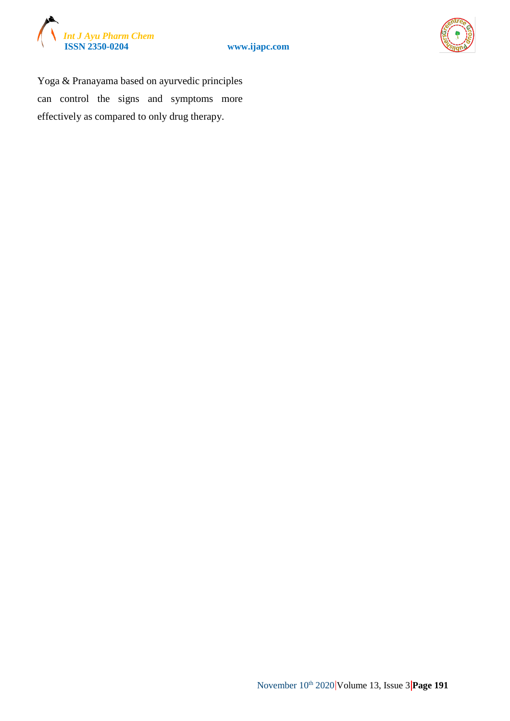





Yoga & Pranayama based on ayurvedic principles can control the signs and symptoms more effectively as compared to only drug therapy.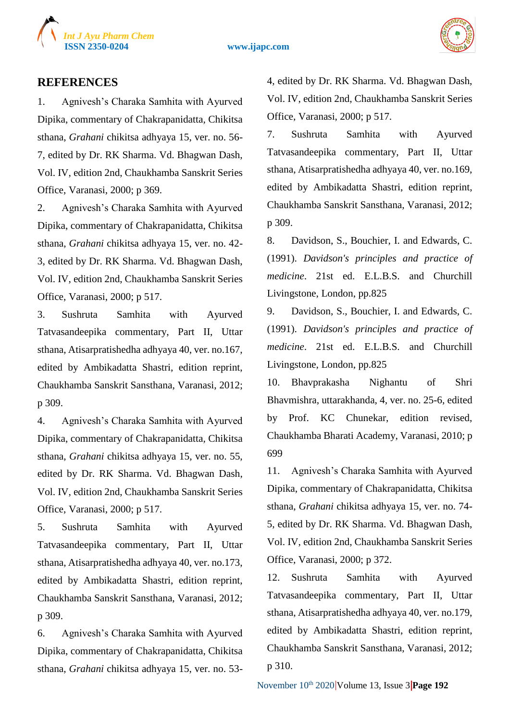



#### **REFERENCES**

1. Agnivesh's Charaka Samhita with Ayurved Dipika, commentary of Chakrapanidatta, Chikitsa sthana, *Grahani* chikitsa adhyaya 15, ver. no. 56- 7, edited by Dr. RK Sharma. Vd. Bhagwan Dash, Vol. IV, edition 2nd, Chaukhamba Sanskrit Series Office, Varanasi, 2000; p 369.

2. Agnivesh's Charaka Samhita with Ayurved Dipika, commentary of Chakrapanidatta, Chikitsa sthana, *Grahani* chikitsa adhyaya 15, ver. no. 42- 3, edited by Dr. RK Sharma. Vd. Bhagwan Dash, Vol. IV, edition 2nd, Chaukhamba Sanskrit Series Office, Varanasi, 2000; p 517.

3. Sushruta Samhita with Ayurved Tatvasandeepika commentary, Part II, Uttar sthana, Atisarpratishedha adhyaya 40, ver. no.167, edited by Ambikadatta Shastri, edition reprint, Chaukhamba Sanskrit Sansthana, Varanasi, 2012; p 309.

4. Agnivesh's Charaka Samhita with Ayurved Dipika, commentary of Chakrapanidatta, Chikitsa sthana, *Grahani* chikitsa adhyaya 15, ver. no. 55, edited by Dr. RK Sharma. Vd. Bhagwan Dash, Vol. IV, edition 2nd, Chaukhamba Sanskrit Series Office, Varanasi, 2000; p 517.

5. Sushruta Samhita with Ayurved Tatvasandeepika commentary, Part II, Uttar sthana, Atisarpratishedha adhyaya 40, ver. no.173, edited by Ambikadatta Shastri, edition reprint, Chaukhamba Sanskrit Sansthana, Varanasi, 2012; p 309.

6. Agnivesh's Charaka Samhita with Ayurved Dipika, commentary of Chakrapanidatta, Chikitsa sthana, *Grahani* chikitsa adhyaya 15, ver. no. 534, edited by Dr. RK Sharma. Vd. Bhagwan Dash, Vol. IV, edition 2nd, Chaukhamba Sanskrit Series Office, Varanasi, 2000; p 517.

7. Sushruta Samhita with Ayurved Tatvasandeepika commentary, Part II, Uttar sthana, Atisarpratishedha adhyaya 40, ver. no.169, edited by Ambikadatta Shastri, edition reprint, Chaukhamba Sanskrit Sansthana, Varanasi, 2012; p 309.

8. Davidson, S., Bouchier, I. and Edwards, C. (1991). *Davidson's principles and practice of medicine*. 21st ed. E.L.B.S. and Churchill Livingstone, London, pp.825

9. Davidson, S., Bouchier, I. and Edwards, C. (1991). *Davidson's principles and practice of medicine*. 21st ed. E.L.B.S. and Churchill Livingstone, London, pp.825

10. Bhavprakasha Nighantu of Shri Bhavmishra, uttarakhanda, 4, ver. no. 25-6, edited by Prof. KC Chunekar, edition revised, Chaukhamba Bharati Academy, Varanasi, 2010; p 699

11. Agnivesh's Charaka Samhita with Ayurved Dipika, commentary of Chakrapanidatta, Chikitsa sthana, *Grahani* chikitsa adhyaya 15, ver. no. 74- 5, edited by Dr. RK Sharma. Vd. Bhagwan Dash, Vol. IV, edition 2nd, Chaukhamba Sanskrit Series Office, Varanasi, 2000; p 372.

12. Sushruta Samhita with Ayurved Tatvasandeepika commentary, Part II, Uttar sthana, Atisarpratishedha adhyaya 40, ver. no.179, edited by Ambikadatta Shastri, edition reprint, Chaukhamba Sanskrit Sansthana, Varanasi, 2012; p 310.